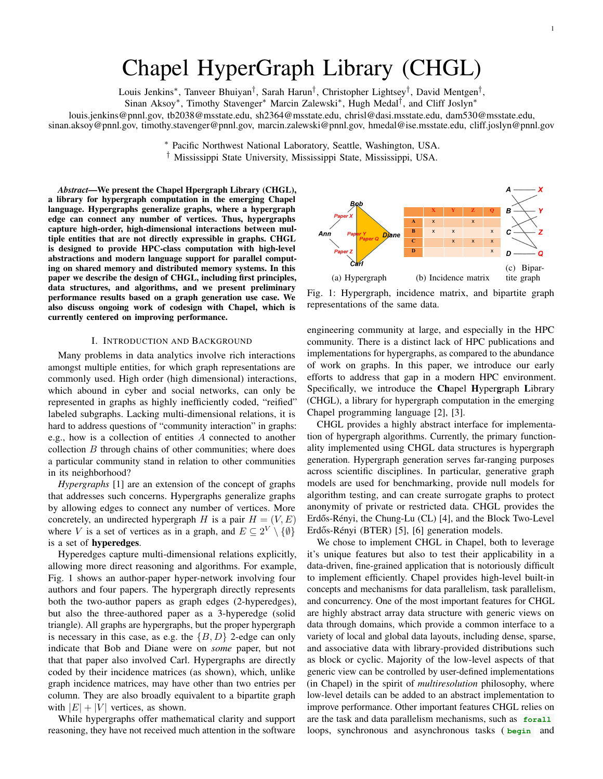# Chapel HyperGraph Library (CHGL)

Louis Jenkins<sup>∗</sup> , Tanveer Bhuiyan† , Sarah Harun† , Christopher Lightsey† , David Mentgen† ,

Sinan Aksoy<sup>\*</sup>, Timothy Stavenger<sup>\*</sup> Marcin Zalewski<sup>\*</sup>, Hugh Medal<sup>†</sup>, and Cliff Joslyn<sup>\*</sup>

louis.jenkins@pnnl.gov, tb2038@msstate.edu, sh2364@msstate.edu, chrisl@dasi.msstate.edu, dam530@msstate.edu, sinan.aksoy@pnnl.gov, timothy.stavenger@pnnl.gov, marcin.zalewski@pnnl.gov, hmedal@ise.msstate.edu, cliff.joslyn@pnnl.gov

<sup>∗</sup> Pacific Northwest National Laboratory, Seattle, Washington, USA.

† Mississippi State University, Mississippi State, Mississippi, USA.

*Abstract*—We present the Chapel Hpergraph Library (CHGL), a library for hypergraph computation in the emerging Chapel language. Hypergraphs generalize graphs, where a hypergraph edge can connect any number of vertices. Thus, hypergraphs capture high-order, high-dimensional interactions between multiple entities that are not directly expressible in graphs. CHGL is designed to provide HPC-class computation with high-level abstractions and modern language support for parallel computing on shared memory and distributed memory systems. In this paper we describe the design of CHGL, including first principles, data structures, and algorithms, and we present preliminary performance results based on a graph generation use case. We also discuss ongoing work of codesign with Chapel, which is currently centered on improving performance.

## I. INTRODUCTION AND BACKGROUND

Many problems in data analytics involve rich interactions amongst multiple entities, for which graph representations are commonly used. High order (high dimensional) interactions, which abound in cyber and social networks, can only be represented in graphs as highly inefficiently coded, "reified" labeled subgraphs. Lacking multi-dimensional relations, it is hard to address questions of "community interaction" in graphs: e.g., how is a collection of entities A connected to another collection  $B$  through chains of other communities; where does a particular community stand in relation to other communities in its neighborhood?

*Hypergraphs* [1] are an extension of the concept of graphs that addresses such concerns. Hypergraphs generalize graphs by allowing edges to connect any number of vertices. More concretely, an undirected hypergraph H is a pair  $H = (V, E)$ where V is a set of vertices as in a graph, and  $E \subseteq 2^V \setminus \{\emptyset\}$ is a set of hyperedges.

Hyperedges capture multi-dimensional relations explicitly, allowing more direct reasoning and algorithms. For example, Fig. 1 shows an author-paper hyper-network involving four authors and four papers. The hypergraph directly represents both the two-author papers as graph edges (2-hyperedges), but also the three-authored paper as a 3-hyperedge (solid triangle). All graphs are hypergraphs, but the proper hypergraph is necessary in this case, as e.g. the  $\{B, D\}$  2-edge can only indicate that Bob and Diane were on *some* paper, but not that that paper also involved Carl. Hypergraphs are directly coded by their incidence matrices (as shown), which, unlike graph incidence matrices, may have other than two entries per column. They are also broadly equivalent to a bipartite graph with  $|E| + |V|$  vertices, as shown.

While hypergraphs offer mathematical clarity and support reasoning, they have not received much attention in the software



Fig. 1: Hypergraph, incidence matrix, and bipartite graph representations of the same data.

engineering community at large, and especially in the HPC community. There is a distinct lack of HPC publications and implementations for hypergraphs, as compared to the abundance of work on graphs. In this paper, we introduce our early efforts to address that gap in a modern HPC environment. Specifically, we introduce the Chapel Hypergraph Library (CHGL), a library for hypergraph computation in the emerging Chapel programming language [2], [3].

CHGL provides a highly abstract interface for implementation of hypergraph algorithms. Currently, the primary functionality implemented using CHGL data structures is hypergraph generation. Hypergraph generation serves far-ranging purposes across scientific disciplines. In particular, generative graph models are used for benchmarking, provide null models for algorithm testing, and can create surrogate graphs to protect anonymity of private or restricted data. CHGL provides the Erdős-Rényi, the Chung-Lu (CL) [4], and the Block Two-Level Erdős-Rényi (BTER) [5], [6] generation models.

We chose to implement CHGL in Chapel, both to leverage it's unique features but also to test their applicability in a data-driven, fine-grained application that is notoriously difficult to implement efficiently. Chapel provides high-level built-in concepts and mechanisms for data parallelism, task parallelism, and concurrency. One of the most important features for CHGL are highly abstract array data structure with generic views on data through domains, which provide a common interface to a variety of local and global data layouts, including dense, sparse, and associative data with library-provided distributions such as block or cyclic. Majority of the low-level aspects of that generic view can be controlled by user-defined implementations (in Chapel) in the spirit of *multiresolution* philosophy, where low-level details can be added to an abstract implementation to improve performance. Other important features CHGL relies on are the task and data parallelism mechanisms, such as **forall** loops, synchronous and asynchronous tasks ( **begin** and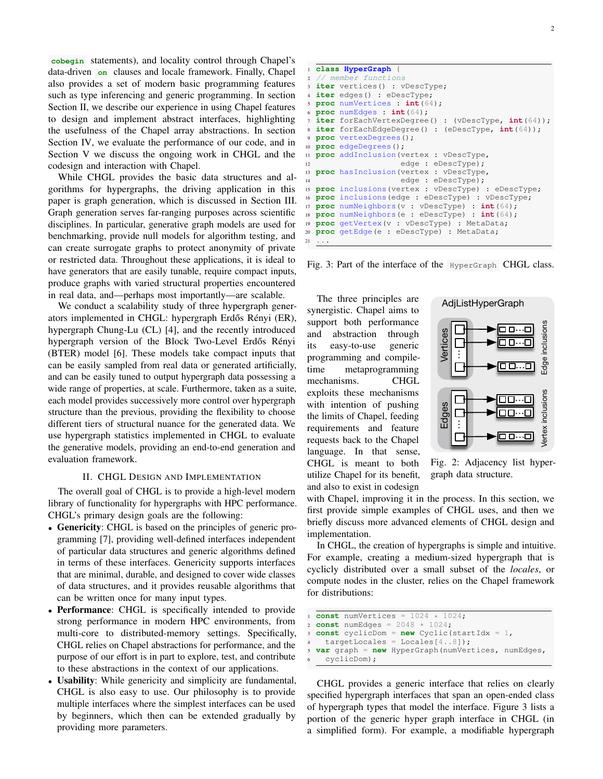**cobegin** statements), and locality control through Chapel's data-driven **on** clauses and locale framework. Finally, Chapel also provides a set of modern basic programming features such as type inferencing and generic programming. In section Section II, we describe our experience in using Chapel features to design and implement abstract interfaces, highlighting the usefulness of the Chapel array abstractions. In section Section IV, we evaluate the performance of our code, and in Section V we discuss the ongoing work in CHGL and the codesign and interaction with Chapel.

While CHGL provides the basic data structures and algorithms for hypergraphs, the driving application in this paper is graph generation, which is discussed in Section III. Graph generation serves far-ranging purposes across scientific disciplines. In particular, generative graph models are used for benchmarking, provide null models for algorithm testing, and can create surrogate graphs to protect anonymity of private or restricted data. Throughout these applications, it is ideal to have generators that are easily tunable, require compact inputs, produce graphs with varied structural properties encountered in real data, and—perhaps most importantly—are scalable.

We conduct a scalability study of three hypergraph generators implemented in CHGL: hypergraph Erdős Rényi (ER), hypergraph Chung-Lu (CL) [4], and the recently introduced hypergraph version of the Block Two-Level Erdős Rényi (BTER) model [6]. These models take compact inputs that can be easily sampled from real data or generated artificially, and can be easily tuned to output hypergraph data possessing a wide range of properties, at scale. Furthermore, taken as a suite, each model provides successively more control over hypergraph structure than the previous, providing the flexibility to choose different tiers of structural nuance for the generated data. We use hypergraph statistics implemented in CHGL to evaluate the generative models, providing an end-to-end generation and evaluation framework.

#### II. CHGL DESIGN AND IMPLEMENTATION

The overall goal of CHGL is to provide a high-level modern library of functionality for hypergraphs with HPC performance. CHGL's primary design goals are the following:

- Genericity: CHGL is based on the principles of generic programming [7], providing well-defined interfaces independent of particular data structures and generic algorithms defined in terms of these interfaces. Genericity supports interfaces that are minimal, durable, and designed to cover wide classes of data structures, and it provides reusable algorithms that can be written once for many input types.
- **Performance:** CHGL is specifically intended to provide strong performance in modern HPC environments, from multi-core to distributed-memory settings. Specifically, CHGL relies on Chapel abstractions for performance, and the purpose of our effort is in part to explore, test, and contribute to these abstractions in the context of our applications.
- Usability: While genericity and simplicity are fundamental, CHGL is also easy to use. Our philosophy is to provide multiple interfaces where the simplest interfaces can be used by beginners, which then can be extended gradually by providing more parameters.

```
1 class HyperGraph {
  // member functions
3 iter vertices() : vDescType;
4 iter edges() : eDescType;
  5 proc numVertices : int(64);
 6 proc numEdges : int(64);
  7 iter forEachVertexDegree() : (vDescType, int(64));
  8 iter forEachEdgeDegree() : (eDescType, int(64));
9 proc vertexDegrees();
  proc edgeDegrees();
11 proc addInclusion(vertex : vDescType,
12 edge : eDescType);
13 proc hasInclusion(vertex : vDescType,
14 edge : eDescType);
15 proc inclusions(vertex : vDescType) : eDescType;
16 proc inclusions(edge : eDescType) : vDescType;
17 proc numNeighbors(v : vDescType) : int(64);
18 proc numNeighbors(e : eDescType) : int(64);
19 proc getVertex(v : vDescType) : MetaData;
20 proc getEdge(e : eDescType) : MetaData;
21 ...
```
Fig. 3: Part of the interface of the HyperGraph CHGL class.

The three principles are synergistic. Chapel aims to support both performance and abstraction through its easy-to-use generic programming and compiletime metaprogramming mechanisms. CHGL exploits these mechanisms with intention of pushing the limits of Chapel, feeding requirements and feature requests back to the Chapel language. In that sense, CHGL is meant to both utilize Chapel for its benefit, and also to exist in codesign



Fig. 2: Adjacency list hypergraph data structure.

with Chapel, improving it in the process. In this section, we first provide simple examples of CHGL uses, and then we briefly discuss more advanced elements of CHGL design and implementation.

In CHGL, the creation of hypergraphs is simple and intuitive. For example, creating a medium-sized hypergraph that is cyclicly distributed over a small subset of the *locales*, or compute nodes in the cluster, relies on the Chapel framework for distributions:

```
\frac{1}{\text{const}} numVertices = 1024 \times 1024;
const numEdges = 2048 \times 1024;
 3 const cyclicDom = new Cyclic(startIdx = 1,
    targetLocales = Locales[4..8]);
  5 var graph = new HyperGraph(numVertices, numEdges,
    cyclicDom);
```
CHGL provides a generic interface that relies on clearly specified hypergraph interfaces that span an open-ended class of hypergraph types that model the interface. Figure 3 lists a portion of the generic hyper graph interface in CHGL (in a simplified form). For example, a modifiable hypergraph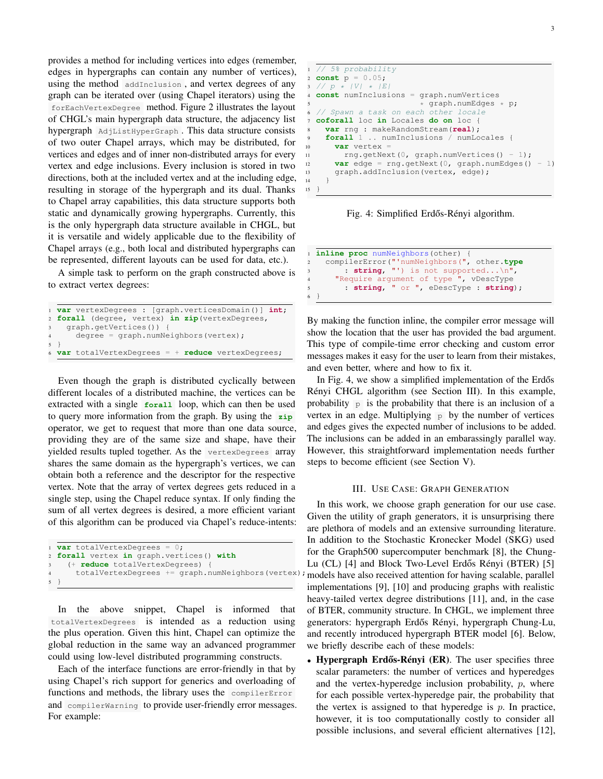provides a method for including vertices into edges (remember, edges in hypergraphs can contain any number of vertices), using the method addInclusion , and vertex degrees of any graph can be iterated over (using Chapel iterators) using the forEachVertexDegree method. Figure 2 illustrates the layout of CHGL's main hypergraph data structure, the adjacency list hypergraph AdjListHyperGraph . This data structure consists of two outer Chapel arrays, which may be distributed, for vertices and edges and of inner non-distributed arrays for every vertex and edge inclusions. Every inclusion is stored in two directions, both at the included vertex and at the including edge, resulting in storage of the hypergraph and its dual. Thanks to Chapel array capabilities, this data structure supports both static and dynamically growing hypergraphs. Currently, this is the only hypergraph data structure available in CHGL, but it is versatile and widely applicable due to the flexibility of Chapel arrays (e.g., both local and distributed hypergraphs can be represented, different layouts can be used for data, etc.).

A simple task to perform on the graph constructed above is to extract vertex degrees:

```
1 var vertexDegrees : [graph.verticesDomain()] int;
 2 forall (degree, vertex) in zip(vertexDegrees,
    3 graph.getVertices()) {
      4 degree = graph.numNeighbors(vertex);
5 }
6 var totalVertexDegrees = + reduce vertexDegrees;
```
Even though the graph is distributed cyclically between different locales of a distributed machine, the vertices can be extracted with a single **forall** loop, which can then be used to query more information from the graph. By using the **zip** operator, we get to request that more than one data source, providing they are of the same size and shape, have their yielded results tupled together. As the vertexDegrees array shares the same domain as the hypergraph's vertices, we can obtain both a reference and the descriptor for the respective vertex. Note that the array of vertex degrees gets reduced in a single step, using the Chapel reduce syntax. If only finding the sum of all vertex degrees is desired, a more efficient variant of this algorithm can be produced via Chapel's reduce-intents:

```
var totalVertexDegrees = 0;
2 forall vertex in graph.vertices() with
    3 (+ reduce totalVertexDegrees) {
      totalVertexDegrees += graph.numNeighbors(vertex)
5 }
```
In the above snippet, Chapel is informed that totalVertexDegrees is intended as a reduction using the plus operation. Given this hint, Chapel can optimize the global reduction in the same way an advanced programmer could using low-level distributed programming constructs.

Each of the interface functions are error-friendly in that by using Chapel's rich support for generics and overloading of functions and methods, the library uses the compilerError and compilerWarning to provide user-friendly error messages. For example:

```
// 5% probability
  2 const p = 0.05;
3 / p * |V| * |E|const numInclusions = graph.numVertices
                            graph.numEdges * p;// Spawn a task on each other locale
  7 coforall loc in Locales do on loc {
    8 var rng : makeRandomStream(real);
    9 forall 1 .. numInclusions / numLocales {
10 var vertex =
11 \qquad \qquad \text{rng.getNext}(0, \text{ graph.numVertices}() - 1);12 var edge = rng.getNext(0, graph.numEdges() - 1)
13 graph.addInclusion(vertex, edge);
14 }
15 }
```
Fig. 4: Simplified Erdős-Rényi algorithm.

```
1 inline proc numNeighbors(other) {
   2 compilerError("'numNeighbors(", other.type
        : string, ") is not supported...\ln,
       Require argument of type ", vDescType
        5 : string, " or ", eDescType : string);
6 }
```
By making the function inline, the compiler error message will show the location that the user has provided the bad argument. This type of compile-time error checking and custom error messages makes it easy for the user to learn from their mistakes, and even better, where and how to fix it.

In Fig. 4, we show a simplified implementation of the Erdős Rényi CHGL algorithm (see Section III). In this example, probability  $\bar{p}$  is the probability that there is an inclusion of a vertex in an edge. Multiplying  $\bar{p}$  by the number of vertices and edges gives the expected number of inclusions to be added. The inclusions can be added in an embarassingly parallel way. However, this straightforward implementation needs further steps to become efficient (see Section V).

#### III. USE CASE: GRAPH GENERATION

In this work, we choose graph generation for our use case. Given the utility of graph generators, it is unsurprising there are plethora of models and an extensive surrounding literature. In addition to the Stochastic Kronecker Model (SKG) used for the Graph500 supercomputer benchmark [8], the Chung-Lu (CL) [4] and Block Two-Level Erdős Rényi (BTER) [5] models have also received attention for having scalable, parallel implementations [9], [10] and producing graphs with realistic heavy-tailed vertex degree distributions [11], and, in the case of BTER, community structure. In CHGL, we implement three generators: hypergraph Erdős Rényi, hypergraph Chung-Lu, and recently introduced hypergraph BTER model [6]. Below, we briefly describe each of these models:

• Hypergraph Erdős-Rényi (ER). The user specifies three scalar parameters: the number of vertices and hyperedges and the vertex-hyperedge inclusion probability,  $p$ , where for each possible vertex-hyperedge pair, the probability that the vertex is assigned to that hyperedge is  $p$ . In practice, however, it is too computationally costly to consider all possible inclusions, and several efficient alternatives [12],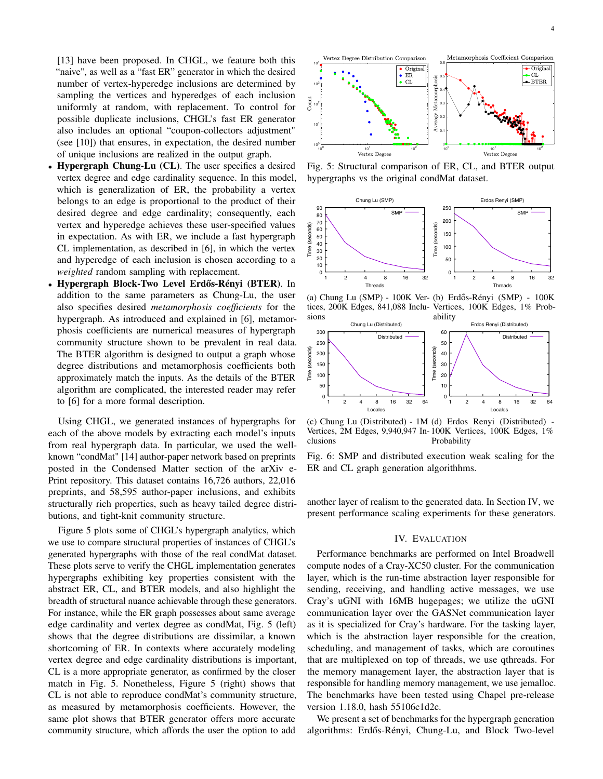[13] have been proposed. In CHGL, we feature both this "naive", as well as a "fast ER" generator in which the desired number of vertex-hyperedge inclusions are determined by sampling the vertices and hyperedges of each inclusion uniformly at random, with replacement. To control for possible duplicate inclusions, CHGL's fast ER generator also includes an optional "coupon-collectors adjustment" (see [10]) that ensures, in expectation, the desired number of unique inclusions are realized in the output graph.

- Hypergraph Chung-Lu (CL). The user specifies a desired vertex degree and edge cardinality sequence. In this model, which is generalization of ER, the probability a vertex belongs to an edge is proportional to the product of their desired degree and edge cardinality; consequently, each vertex and hyperedge achieves these user-specified values in expectation. As with ER, we include a fast hypergraph CL implementation, as described in [6], in which the vertex and hyperedge of each inclusion is chosen according to a *weighted* random sampling with replacement.
- Hypergraph Block-Two Level Erdős-Rényi (BTER). In addition to the same parameters as Chung-Lu, the user also specifies desired *metamorphosis coefficients* for the hypergraph. As introduced and explained in [6], metamorphosis coefficients are numerical measures of hypergraph community structure shown to be prevalent in real data. The BTER algorithm is designed to output a graph whose degree distributions and metamorphosis coefficients both approximately match the inputs. As the details of the BTER algorithm are complicated, the interested reader may refer to [6] for a more formal description.

Using CHGL, we generated instances of hypergraphs for each of the above models by extracting each model's inputs from real hypergraph data. In particular, we used the wellknown "condMat" [14] author-paper network based on preprints posted in the Condensed Matter section of the arXiv e-Print repository. This dataset contains 16,726 authors, 22,016 preprints, and 58,595 author-paper inclusions, and exhibits structurally rich properties, such as heavy tailed degree distributions, and tight-knit community structure.

Figure 5 plots some of CHGL's hypergraph analytics, which we use to compare structural properties of instances of CHGL's generated hypergraphs with those of the real condMat dataset. These plots serve to verify the CHGL implementation generates hypergraphs exhibiting key properties consistent with the abstract ER, CL, and BTER models, and also highlight the breadth of structural nuance achievable through these generators. For instance, while the ER graph possesses about same average edge cardinality and vertex degree as condMat, Fig. 5 (left) shows that the degree distributions are dissimilar, a known shortcoming of ER. In contexts where accurately modeling vertex degree and edge cardinality distributions is important, CL is a more appropriate generator, as confirmed by the closer match in Fig. 5. Nonetheless, Figure 5 (right) shows that CL is not able to reproduce condMat's community structure, as measured by metamorphosis coefficients. However, the same plot shows that BTER generator offers more accurate community structure, which affords the user the option to add



Fig. 5: Structural comparison of ER, CL, and BTER output hypergraphs vs the original condMat dataset.



(a) Chung Lu (SMP) - 100K Ver- (b) Erdős-Rényi (SMP) - 100K tices, 200K Edges, 841,088 Inclu-Vertices, 100K Edges, 1% Probsions ability



(c) Chung Lu (Distributed) - 1M (d) Erdos Renyi (Distributed) - Vertices, 2M Edges, 9,940,947 In-100K Vertices, 100K Edges, 1% clusions Probability

Fig. 6: SMP and distributed execution weak scaling for the ER and CL graph generation algorithhms.

another layer of realism to the generated data. In Section IV, we present performance scaling experiments for these generators.

#### IV. EVALUATION

Performance benchmarks are performed on Intel Broadwell compute nodes of a Cray-XC50 cluster. For the communication layer, which is the run-time abstraction layer responsible for sending, receiving, and handling active messages, we use Cray's uGNI with 16MB hugepages; we utilize the uGNI communication layer over the GASNet communication layer as it is specialized for Cray's hardware. For the tasking layer, which is the abstraction layer responsible for the creation, scheduling, and management of tasks, which are coroutines that are multiplexed on top of threads, we use qthreads. For the memory management layer, the abstraction layer that is responsible for handling memory management, we use jemalloc. The benchmarks have been tested using Chapel pre-release version 1.18.0, hash 55106c1d2c.

We present a set of benchmarks for the hypergraph generation algorithms: Erdős-Rényi, Chung-Lu, and Block Two-level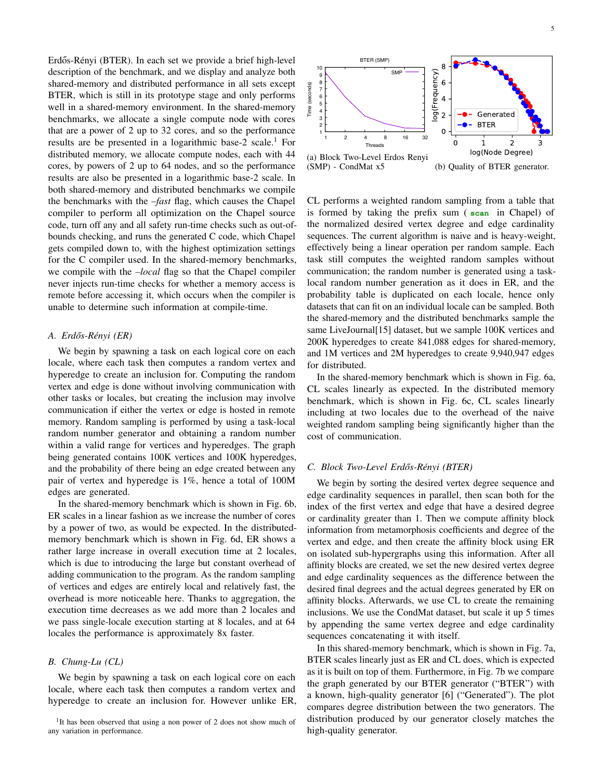Erdős-Rényi (BTER). In each set we provide a brief high-level description of the benchmark, and we display and analyze both shared-memory and distributed performance in all sets except BTER, which is still in its prototype stage and only performs well in a shared-memory environment. In the shared-memory benchmarks, we allocate a single compute node with cores that are a power of 2 up to 32 cores, and so the performance results are be presented in a logarithmic base-2 scale.<sup>1</sup> For distributed memory, we allocate compute nodes, each with 44 cores, by powers of 2 up to 64 nodes, and so the performance results are also be presented in a logarithmic base-2 scale. In both shared-memory and distributed benchmarks we compile the benchmarks with the *–fast* flag, which causes the Chapel compiler to perform all optimization on the Chapel source code, turn off any and all safety run-time checks such as out-ofbounds checking, and runs the generated C code, which Chapel gets compiled down to, with the highest optimization settings for the C compiler used. In the shared-memory benchmarks, we compile with the *–local* flag so that the Chapel compiler never injects run-time checks for whether a memory access is remote before accessing it, which occurs when the compiler is unable to determine such information at compile-time.

## *A. Erd ˝os-Rényi (ER)*

We begin by spawning a task on each logical core on each locale, where each task then computes a random vertex and hyperedge to create an inclusion for. Computing the random vertex and edge is done without involving communication with other tasks or locales, but creating the inclusion may involve communication if either the vertex or edge is hosted in remote memory. Random sampling is performed by using a task-local random number generator and obtaining a random number within a valid range for vertices and hyperedges. The graph being generated contains 100K vertices and 100K hyperedges, and the probability of there being an edge created between any pair of vertex and hyperedge is 1%, hence a total of 100M edges are generated.

In the shared-memory benchmark which is shown in Fig. 6b, ER scales in a linear fashion as we increase the number of cores by a power of two, as would be expected. In the distributedmemory benchmark which is shown in Fig. 6d, ER shows a rather large increase in overall execution time at 2 locales, which is due to introducing the large but constant overhead of adding communication to the program. As the random sampling of vertices and edges are entirely local and relatively fast, the overhead is more noticeable here. Thanks to aggregation, the execution time decreases as we add more than 2 locales and we pass single-locale execution starting at 8 locales, and at 64 locales the performance is approximately 8x faster.

## *B. Chung-Lu (CL)*

We begin by spawning a task on each logical core on each locale, where each task then computes a random vertex and hyperedge to create an inclusion for. However unlike ER,



5



CL performs a weighted random sampling from a table that is formed by taking the prefix sum ( **scan** in Chapel) of the normalized desired vertex degree and edge cardinality sequences. The current algorithm is naive and is heavy-weight, effectively being a linear operation per random sample. Each task still computes the weighted random samples without communication; the random number is generated using a tasklocal random number generation as it does in ER, and the probability table is duplicated on each locale, hence only datasets that can fit on an individual locale can be sampled. Both the shared-memory and the distributed benchmarks sample the same LiveJournal[15] dataset, but we sample 100K vertices and 200K hyperedges to create 841,088 edges for shared-memory, and 1M vertices and 2M hyperedges to create 9,940,947 edges for distributed.

In the shared-memory benchmark which is shown in Fig. 6a, CL scales linearly as expected. In the distributed memory benchmark, which is shown in Fig. 6c, CL scales linearly including at two locales due to the overhead of the naive weighted random sampling being significantly higher than the cost of communication.

#### *C. Block Two-Level Erd ˝os-Rényi (BTER)*

We begin by sorting the desired vertex degree sequence and edge cardinality sequences in parallel, then scan both for the index of the first vertex and edge that have a desired degree or cardinality greater than 1. Then we compute affinity block information from metamorphosis coefficients and degree of the vertex and edge, and then create the affinity block using ER on isolated sub-hypergraphs using this information. After all affinity blocks are created, we set the new desired vertex degree and edge cardinality sequences as the difference between the desired final degrees and the actual degrees generated by ER on affinity blocks. Afterwards, we use CL to create the remaining inclusions. We use the CondMat dataset, but scale it up 5 times by appending the same vertex degree and edge cardinality sequences concatenating it with itself.

In this shared-memory benchmark, which is shown in Fig. 7a, BTER scales linearly just as ER and CL does, which is expected as it is built on top of them. Furthermore, in Fig. 7b we compare the graph generated by our BTER generator ("BTER") with a known, high-quality generator [6] ("Generated"). The plot compares degree distribution between the two generators. The distribution produced by our generator closely matches the high-quality generator.

<sup>&</sup>lt;sup>1</sup>It has been observed that using a non power of 2 does not show much of any variation in performance.